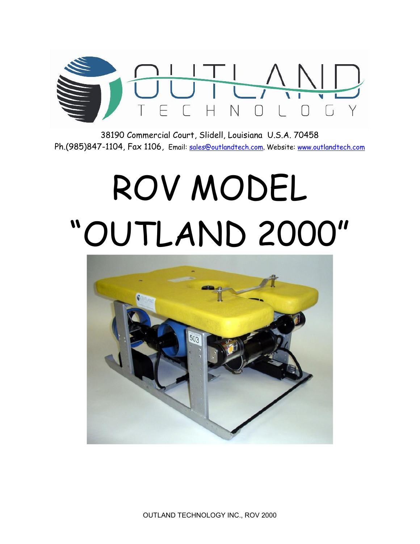38190 CommerciaSIDdoeultt Louisiana U.S.A. 70458 Ph. (985)-84704, Fax, ft fin Q <u>Gales @outlandt</u> eW be boscite<u>s ww.outlandte</u>ch.com

## ROV MODEL OUTLAND00

OUTLANE CHNOLOGY INC200ROV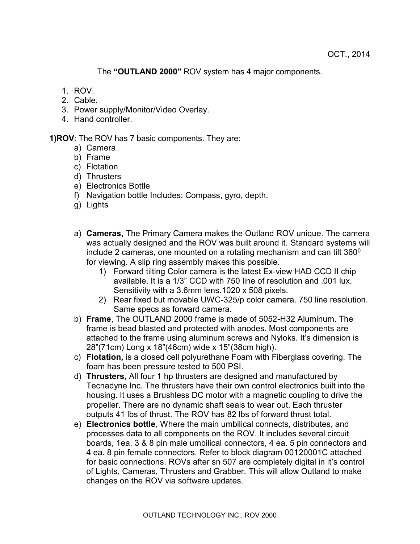The **"OUTLAND 2000"** ROV system has 4 major components.

- 1. ROV.
- 2. Cable.
- 3. Power supply/Monitor/Video Overlay.
- 4. Hand controller.

**1)ROV**: The ROV has 7 basic components. They are:

- a) Camera
- b) Frame
- c) Flotation
- d) Thrusters
- e) Electronics Bottle
- f) Navigation bottle Includes: Compass, gyro, depth.
- g) Lights
- a) **Cameras,** The Primary Camera makes the Outland ROV unique. The camera was actually designed and the ROV was built around it. Standard systems will include 2 cameras, one mounted on a rotating mechanism and can tilt 360 $^{\circ}$ for viewing. A slip ring assembly makes this possible.
	- 1) Forward tilting Color camera is the latest Ex-view HAD CCD II chip available. It is a 1/3" CCD with 750 line of resolution and .001 lux. Sensitivity with a 3.6mm lens.1020 x 508 pixels.
	- 2) Rear fixed but movable UWC-325/p color camera. 750 line resolution. Same specs as forward camera.
- b) **Frame**, The OUTLAND 2000 frame is made of 5052-H32 Aluminum. The frame is bead blasted and protected with anodes. Most components are attached to the frame using aluminum screws and Nyloks. It's dimension is 28"(71cm) Long x 18"(46cm) wide x 15"(38cm high).
- c) **Flotation,** is a closed cell polyurethane Foam with Fiberglass covering. The foam has been pressure tested to 500 PSI.
- d) **Thrusters**, All four 1 hp thrusters are designed and manufactured by Tecnadyne Inc. The thrusters have their own control electronics built into the housing. It uses a Brushless DC motor with a magnetic coupling to drive the propeller. There are no dynamic shaft seals to wear out. Each thruster outputs 41 lbs of thrust. The ROV has 82 lbs of forward thrust total.
- e) **Electronics bottle**, Where the main umbilical connects, distributes, and processes data to all components on the ROV. It includes several circuit boards, 1ea. 3 & 8 pin male umbilical connectors, 4 ea. 5 pin connectors and 4 ea. 8 pin female connectors. Refer to block diagram 00120001C attached for basic connections. ROVs after sn 507 are completely digital in it's control of Lights, Cameras, Thrusters and Grabber. This will allow Outland to make changes on the ROV via software updates.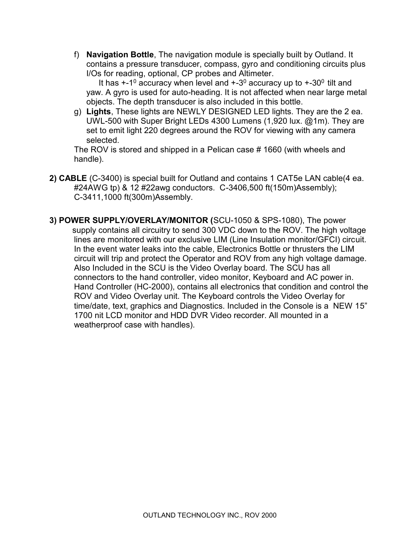f) **Navigation Bottle**, The navigation module is specially built by Outland. It contains a pressure transducer, compass, gyro and conditioning circuits plus I/Os for reading, optional, CP probes and Altimeter.

It has +-1º accuracy when level and +-3º accuracy up to +-30º tilt and yaw. A gyro is used for auto-heading. It is not affected when near large metal objects. The depth transducer is also included in this bottle.

g) **Lights**, These lights are NEWLY DESIGNED LED lights. They are the 2 ea. UWL-500 with Super Bright LEDs 4300 Lumens (1,920 lux. @1m). They are set to emit light 220 degrees around the ROV for viewing with any camera selected.

The ROV is stored and shipped in a Pelican case # 1660 (with wheels and handle).

- **2) CABLE** (C-3400) is special built for Outland and contains 1 CAT5e LAN cable(4 ea. #24AWG tp) & 12 #22awg conductors. C-3406,500 ft(150m)Assembly); C-3411,1000 ft(300m)Assembly.
- **3) POWER SUPPLY/OVERLAY/MONITOR (**SCU-1050 & SPS-1080), The power supply contains all circuitry to send 300 VDC down to the ROV. The high voltage lines are monitored with our exclusive LIM (Line Insulation monitor/GFCI) circuit. In the event water leaks into the cable, Electronics Bottle or thrusters the LIM circuit will trip and protect the Operator and ROV from any high voltage damage. Also Included in the SCU is the Video Overlay board. The SCU has all connectors to the hand controller, video monitor, Keyboard and AC power in. Hand Controller (HC-2000), contains all electronics that condition and control the ROV and Video Overlay unit. The Keyboard controls the Video Overlay for time/date, text, graphics and Diagnostics. Included in the Console is a NEW 15" 1700 nit LCD monitor and HDD DVR Video recorder. All mounted in a weatherproof case with handles).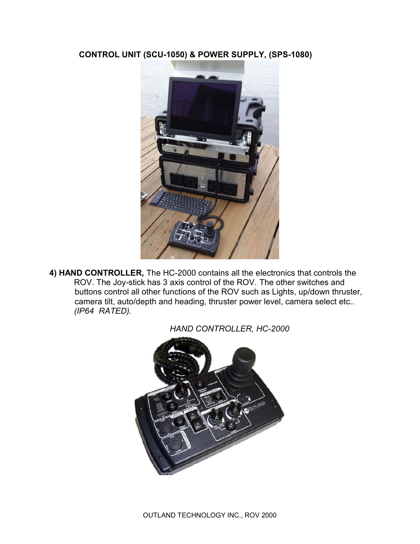**CONTROL UNIT (SCU-1050) & POWER SUPPLY, (SPS-1080)**



**4) HAND CONTROLLER,** The HC-2000 contains all the electronics that controls the ROV. The Joy-stick has 3 axis control of the ROV. The other switches and buttons control all other functions of the ROV such as Lights, up/down thruster, camera tilt, auto/depth and heading, thruster power level, camera select etc.. *(IP64 RATED).*



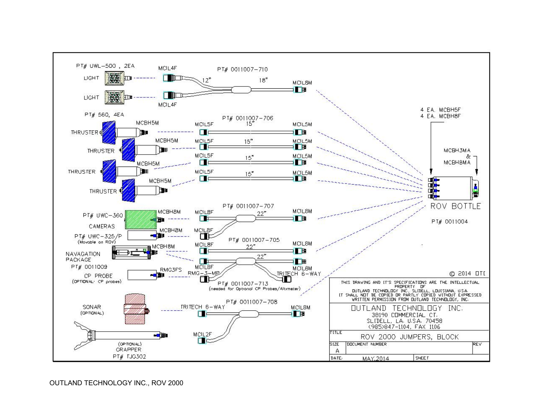## OUTLAND TECHNOLOGY INC., ROV 2000